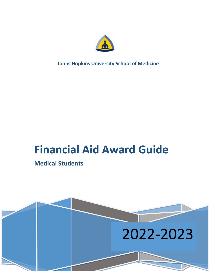

**Johns Hopkins University School of Medicine**

# **Financial Aid Award Guide**

# **Medical Students**

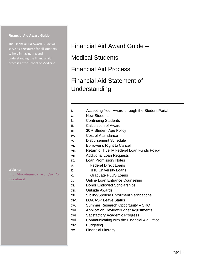#### **Financial Aid Award Guide**

The Financial Aid Award Guide will to help in navigating and understanding the financial aid process at the School of Medicine.

**Website:**

[https://hopkinsmedicine.org/som/o](https://hopkinsmedicine.org/som/offices/finaid) [ffices/finaid](https://hopkinsmedicine.org/som/offices/finaid)

# Financial Aid Award Guide –

Medical Students

Financial Aid Process

# Financial Aid Statement of Understanding

i. Accepting Your Award through the Student Portal

\_\_\_\_\_\_\_\_\_\_\_\_\_\_\_\_\_\_\_\_\_\_\_\_\_\_\_\_\_\_\_\_\_

- a. New Students
- b. Continuing Students
- ii. Calculation of Award
- iii. 30 + Student Age Policy
- iv. Cost of Attendance
- v. Disbursement Schedule
- vi. Borrower's Right to Cancel
- vii. Return of Title IV Federal Loan Funds Policy
- viii. Additional Loan Requests
- ix. Loan Promissory Notes
- a. Federal Direct Loans
- b. JHU University Loans
- c. Graduate PLUS Loans
- x. Online Loan Entrance Counseling
- xi. Donor Endowed Scholarships
- xii. Outside Awards
- xiii. Sibling/Spouse Enrollment Verifications
- xiv. LOA/ASP Leave Status
- xv. Summer Research Opportunity SRO
- xvi. Application Review/Budget Adjustments
- xvii. Satisfactory Academic Progress
- xviii. Communicating with the Financial Aid Office
- xix. Budgeting
- xx. Financial Literacy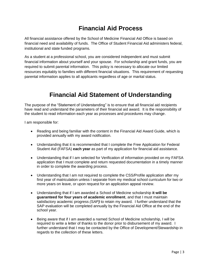# **Financial Aid Process**

All financial assistance offered by the School of Medicine Financial Aid Office is based on financial need and availability of funds. The Office of Student Financial Aid administers federal, institutional and state funded programs.

As a student at a professional school, you are considered independent and must submit financial information about yourself and your spouse. For scholarship and grant funds, you are required to submit parental information. This policy is necessary to allocate our limited resources equitably to families with different financial situations. This requirement of requesting parental information applies to all applicants regardless of age or marital status.

# **Financial Aid Statement of Understanding**

The purpose of the "Statement of Understanding" is to ensure that all financial aid recipients have read and understand the parameters of their financial aid award. It is the responsibility of the student to read information each year as processes and procedures may change.

I am responsible for:

- Reading and being familiar with the content in the Financial Aid Award Guide, which is provided annually with my award notification.
- Understanding that it is recommended that I complete the Free Application for Federal Student Aid (FAFSA) **each year** as part of my application for financial aid assistance.
- Understanding that if I am selected for Verification of information provided on my FAFSA application that I must complete and return requested documentation in a timely manner in order to complete the awarding process.
- Understanding that I am not required to complete the CSS/Profile application after my first year of matriculation unless I separate from my medical school curriculum for two or more years on leave, or upon request for an application appeal review.
- Understanding that if I am awarded a School of Medicine scholarship **it will be guaranteed for four years of academic enrollment**, and that I must maintain satisfactory academic progress *(SAP)* to retain my award. I further understand that the SAP evaluation will be completed annually by the Financial Aid Office at the end of the school year.
- Being aware that if I am awarded a named School of Medicine scholarship, I will be required to write a letter of thanks to the donor prior to disbursement of my award. I further understand that I may be contacted by the Office of Development/Stewardship in regards to the collection of these letters.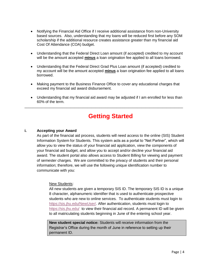- Notifying the Financial Aid Office if I receive additional assistance from non-University based sources. Also, understanding that my loans will be reduced first before any SOM scholarship if the additional resource creates assistance greater than my financial aid Cost Of Attendance (COA) budget.
- Understanding that the Federal Direct Loan amount (if accepted) credited to my account will be the amount accepted **minus** a loan origination fee applied to all loans borrowed.
- Understanding that the Federal Direct Grad Plus Loan amount (if accepted) credited to my account will be the amount accepted **minus** a loan origination fee applied to all loans borrowed.
- Making payment to the Business Finance Office to cover any educational charges that exceed my financial aid award disbursement.
- Understanding that my financial aid award may be adjusted if I am enrolled for less than 60% of the term.

\_\_\_\_\_\_\_\_\_\_\_\_\_\_\_\_\_\_\_\_\_\_\_\_\_\_\_\_\_\_\_\_\_\_\_\_\_\_\_\_\_\_\_\_\_\_\_\_\_\_\_\_\_\_\_\_\_\_\_\_\_\_\_\_\_\_\_\_\_\_\_\_\_\_\_\_

# **Getting Started**

# **i. Accepting your Award**

As part of the financial aid process, students will need access to the online (SIS) Student Information System for Students. This system acts as a portal to "Net Partner", which will allow you to view the status of your financial aid application, view the components of your financial aid budget, and allow you to accept and/or decline your financial aid award. The student portal also allows access to Student Billing for viewing and payment of semester charges. We are committed to the privacy of students and their personal information; therefore, we will use the following unique identification number to communicate with you:

#### New Students:

All new students are given a temporary SIS ID. The temporary SIS ID is a unique 8 character, alphanumeric identifier that is used to authenticate prospective students who are new to online services. To authenticate students must login to [https://sis.jhu.edu/NewUser/.](https://sis.jhu.edu/NewUser/) After authentication, students must login to <https://sis.jhu.edu/>to view their financial aid record. A permanent ID will be given to all matriculating students beginning in June of the entering school year.

**New student special notice:** Students will receive information from the Registrar's Office during the month of June in reference to setting up their permanent ID.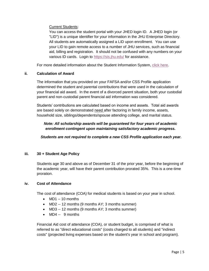Current Students:

You can access the student portal with your JHED login ID. A JHED login (or "LID") is a unique identifier for your information in the JHU Enterprise Directory. All students are automatically assigned a LID upon enrollment. You can use your LID to gain remote access to a number of JHU services, such as financial aid, billing and registration. It should not be confused with any numbers on your various ID cards. Login to<https://sis.jhu.edu/> for assistance.

For more detailed information about the Student Information System, [click here.](https://www.hopkinsmedicine.org/som/offices/finaid/sis.html)

# **ii. Calculation of Award**

The information that you provided on your FAFSA and/or CSS Profile application determined the student and parental contributions that were used in the calculation of your financial aid award. In the event of a divorced parent situation, both your custodial parent and non-custodial parent financial aid information was considered.

Students' contributions are calculated based on income and assets. Total aid awards are based solely on demonstrated need after factoring in family income, assets, household size, siblings/dependents/spouse attending college, and marital status.

# *Note: All scholarship awards will be guaranteed for four years of academic enrollment contingent upon maintaining satisfactory academic progress.*

*Students are not required to complete a new CSS Profile application each year.*

# **iii. 30 + Student Age Policy**

Students age 30 and above as of December 31 of the prior year, before the beginning of the academic year, will have their parent contribution prorated 35%. This is a one-time proration.

# **iv. Cost of Attendance**

The cost of attendance (COA) for medical students is based on your year in school.

- $MD1 10$  months
- MD2 -- 12 months (9 months AY; 3 months summer)
- MD3 -- 12 months (9 months AY; 3 months summer)
- MD4 -- 9 months

Financial Aid cost of attendance (COA), or student budget, is comprised of what is referred to as "direct educational costs" (costs charged to all students) and "indirect costs" (projected living expenses based on the student's year in school and program).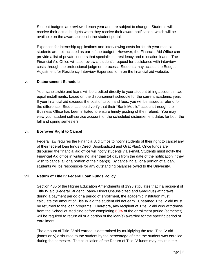Student budgets are reviewed each year and are subject to change. Students will receive their actual budgets when they receive their award notification, which will be available on the award screen in the student portal.

Expenses for internship applications and interviewing costs for fourth year medical students are not included as part of the budget. However, the Financial Aid Office can provide a list of private lenders that specialize in residency and relocation loans. The Financial Aid Office will also review a student's request for assistance with interview costs through the professional judgment process. Students may access the Budget Adjustment for Residency Interview Expenses form on the financial aid website.

# **v. Disbursement Schedule**

Your scholarship and loans will be credited directly to your student billing account in two equal installments, based on the disbursement schedule for the current academic year. If your financial aid exceeds the cost of tuition and fees, you will be issued a refund for the difference. Students should verify that their "Bank Mobile" account through the Business Office has been initiated to ensure timely posting of their refund. You may view your student self-service account for the scheduled disbursement dates for both the fall and spring semesters.

# **vi. Borrower Right to Cancel**

Federal law requires the Financial Aid Office to notify students of their right to cancel any of their federal loan funds (Direct Unsubsidized and GradPlus). Once funds are disbursed the financial aid office will notify students via e-mail. Students must notify the Financial Aid office in writing no later than 14 days from the date of the notification if they wish to cancel all or a portion of their loan(s). By canceling all or a portion of a loan, students will be responsible for any outstanding balances owed to the University.

# **vii. Return of Title IV Federal Loan Funds Policy**

Section 485 of the Higher Education Amendments of 1998 stipulates that if a recipient of Title IV aid (Federal Student Loans- Direct Unsubsidized and GradPlus) withdraws during a payment period or a period of enrollment, the academic institution must calculate the amount of Title IV aid the student did not earn. Unearned Title IV aid must be returned to the loan programs. Therefore, any recipient of Title IV aid who withdraws from the School of Medicine before completing 60% of the enrollment period (semester) will be required to return all or a portion of the loan(s) awarded for the specific period of enrollment.

The amount of Title IV aid earned is determined by multiplying the total Title IV aid (loans only) disbursed to the student by the percentage of time the student was enrolled during the semester. The calculation of the Return of Title IV funds may result in the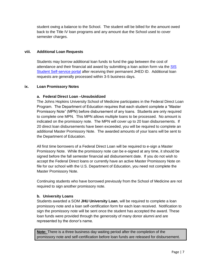student owing a balance to the School. The student will be billed for the amount owed back to the Title IV loan programs and any amount due the School used to cover semester charges.

# **viii. Additional Loan Requests**

Students may borrow additional loan funds to fund the gap between the cost of attendance and their financial aid award by submitting a loan action form via the [SIS](https://sis.jhu.edu/sswf/)  [Student Self-service portal](https://sis.jhu.edu/sswf/) after receiving their permanent JHED ID. Additional loan requests are generally processed within 3-5 business days.

# **ix. Loan Promissory Notes**

# **a. Federal Direct Loan –Unsubsidized**

The Johns Hopkins University School of Medicine participates in the Federal Direct Loan Program. The Department of Education requires that each student complete a "Master Promissory Note" (MPN) before disbursement of any loans. Students are only required to complete one MPN. This MPN allows multiple loans to be processed. No amount is indicated on the promissory note. The MPN will cover up to 20 loan disbursements. If 20 direct loan disbursements have been exceeded, you will be required to complete an additional Master Promissory Note. The awarded amounts of your loans will be sent to the Department of Education.

All first time borrowers of a Federal Direct Loan will be required to e-sign a Master Promissory Note. While the promissory note can be e-signed at any time, it should be signed before the fall semester financial aid disbursement date. If you do not wish to accept the Federal Direct loans or currently have an active Master Promissory Note on file for our school with the U.S. Department of Education, you need not complete the Master Promissory Note.

Continuing students who have borrowed previously from the School of Medicine are not required to sign another promissory note.

#### **b. University Loans**

Students awarded a SOM **JHU University Loan**, will be required to complete a loan promissory note and a loan self-certification form for each loan received. Notification to sign the promissory note will be sent once the student has accepted the award. These loan funds were provided through the generosity of many donor alumni and are represented by the donor's name.

**Note:** There is a three business day waiting period after the completion of the promissory note and self-certification before loan funds are released for disbursement.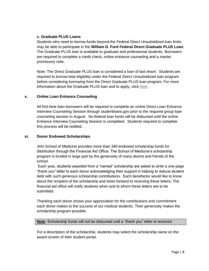# **c. Graduate PLUS Loans**

Students who need to borrow funds beyond the Federal Direct Unsubsidized loan limits may be able to participate in the **William D. Ford Federal Direct Graduate PLUS Loan**. The Graduate PLUS loan is available to graduate and professional students. Borrowers are required to complete a credit check, online entrance counseling and a master promissory note.

Note: The Direct Graduate PLUS loan is considered a loan of last resort. Students are required to borrow total eligibility under the Federal Direct Unsubsidized loan program before considering borrowing from the Direct Graduate PLUS loan program. For more information about the Graduate PLUS loan and to apply, click [here.](https://studentaid.gov/app/launchMpn.action?mpnType=gradPlusMpn)

# **x. Online Loan Entrance Counseling**

All first-time loan borrowers will be required to complete an online Direct Loan Entrance Interview Counseling Session through studentloans.gov prior to the required group loan counseling session in August. No federal loan funds will be disbursed until the online Entrance Interview Counseling Session is completed. Students required to complete this process will be notified.

# **xi. Donor Endowed Scholarships**

JHU School of Medicine provides more than 340 endowed scholarship funds for distribution through the Financial Aid Office. The School of Medicine's scholarship program is funded in large part by the generosity of many alumni and friends of the school.

Each year, students awarded from a "named" scholarship are asked to write a one-page "thank you" letter to each donor acknowledging their support in helping to reduce student debt with such generous scholarship contributions. Each benefactor would like to know about the recipient of the scholarship and looks forward to receiving these letters. The financial aid office will notify students when and to whom these letters are to be submitted.

Thanking each donor shows your appreciation for the contributions and commitment each donor makes to the success of our medical students. Their generosity makes the scholarship program possible.

**Note:** Scholarship funds will not be disbursed until a "thank you" letter is received.

For a description of the scholarship, students may select the scholarship name on the award screen of their student portal.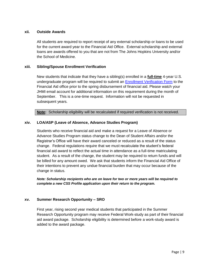### **xii. Outside Awards**

All students are required to report receipt of any external scholarship or loans to be used for the current award year to the Financial Aid Office. External scholarship and external loans are awards offered to you that are not from The Johns Hopkins University and/or the School of Medicine.

### **xiii. Sibling/Spouse Enrollment Verification**

New students that indicate that they have a sibling(s) enrolled in a **full-time** 4-year U.S. undergraduate program will be required to submit an [Enrollment Verification Form](https://www.hopkinsmedicine.org/som/offices/finaid/forms/2223_SiblingVerification.pdf) to the Financial Aid office prior to the spring disbursement of financial aid. Please watch your JHMI email account for additional information on this requirement during the month of September. This is a one-time request. Information will not be requested in subsequent years.

**Note:** Scholarship eligibility will be recalculated if required verification is not received.

### **xiv. LOA/ASP (Leave of Absence, Advance Studies Program)**

Students who receive financial aid and make a request for a Leave of Absence or Advance Studies Program status change to the Dean of Student Affairs and/or the Registrar's Office will have their award canceled or reduced as a result of the status change. Federal regulations require that we must recalculate the student's federal financial aid award to reflect the actual time in attendance as a full-time matriculating student. As a result of the change, the student may be required to return funds and will be billed for any amount owed. We ask that students inform the Financial Aid Office of their intentions to prevent any undue financial burden that may occur because of the change in status.

*Note: Scholarship recipients who are on leave for two or more years will be required to complete a new CSS Profile application upon their return to the program.*

# **xv. Summer Research Opportunity – SRO**

First year, rising second year medical students that participated in the Summer Research Opportunity program may receive Federal Work-study as part of their financial aid award package. Scholarship eligibility is determined before a work-study award is added to the award package.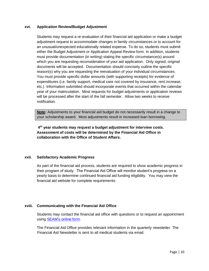### **xvi. Application Review/Budget Adjustment**

Students may request a re-evaluation of their financial aid application or make a budget adjustment request to accommodate changes in family circumstances or to account for an unusual/unexpected educationally related expense. To do so, students must submit either the Budget Adjustment or Application Appeal Review form. In addition, students must provide documentation (in writing) stating the specific circumstance(s) around which you are requesting reconsideration of your aid application. Only signed, original documents will be accepted. Documentation should concisely outline the specific reason(s) why you are requesting the reevaluation of your individual circumstances. You must provide specific dollar amounts (with supporting receipts) for evidence of expenditures (i.e. family support, medical care not covered by insurance, rent increase, etc.) Information submitted should incorporate events that occurred within the calendar year of your matriculation. Most requests for budget adjustments or application reviews will be processed after the start of the fall semester. Allow two weeks to receive notification.

**Note:** Adjustments to your financial aid budget do not necessarily result in a change to your scholarship award. Most adjustments result in increased loan borrowing.

**4 th year students may request a budget adjustment for interview costs. Assessment of costs will be determined by the Financial Aid Office in collaboration with the Office of Student Affairs.** 

#### **xvii. Satisfactory Academic Progress**

As part of the financial aid process, students are required to show academic progress in their program of study. The Financial Aid Office will monitor student's progress on a yearly basis to determine continued financial aid funding eligibility. You may view the financial aid website for complete requirements.

# **xviii. Communicating with the Financial Aid Office**

Students may contact the financial aid office with questions or to request an appointment using [SEAM's online](https://support.sis.jhu.edu/case-home) form.

The Financial Aid Office provides relevant information in the quarterly newsletter. The Financial Aid Newsletter is sent to all medical students via email.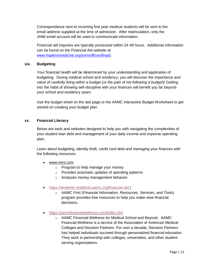Correspondence sent to incoming first year medical students will be sent to the email address supplied at the time of admission. After matriculation, only the JHMI email account will be used to communicate information.

Financial aid Inquiries are typically processed within 24-48 hours. Additional information can be found on the Financial Aid website at: [www.hopkinsmedicine.org/som/offices/finaid](http://www.hopkinsmedicine.org/som/offices/finaid).

#### **xix. Budgeting**

Your financial health will be determined by your understanding and application of budgeting. During medical school and residency, you will discover the importance and value of carefully living within a budget (*or the pain of not following a budget*)! Getting into the habit of showing self-discipline with your finances will benefit you far beyond your school and residency years.

Use the budget sheet on the last page or the AAMC Interactive Budget Worksheet to get started on creating your budget plan.

### **xx. Financial Literacy**

Below are tools and websites designed to help you with navigating the complexities of your student loan debt and management of your daily income and expense spending plan.

Learn about budgeting, identity theft, credit card debt and managing your finances with the following resources:

- [www.mint.com](http://www.mint.com/)
	- o Program to help manage your money
	- o Provides automatic updates of spending patterns
	- o Analyzes money management behavior
- <https://students-residents.aamc.org/financial-aid> /
	- o AAMC First (*Financial Information, Resources, Services, and Tools*) program provides free resources to help you make wise financial decisions.
- <https://aamcfinancialwellness.com/index.cfm>
	- o AAMC Financial Wellness for Medical School and Beyond. AAMC Financial Wellness is a service of the Association of American Medical Colleges and Decision Partners. For over a decade, Decision Partners has helped individuals succeed through personalized financial education. They work in partnership with colleges, universities, and other studentserving organizations.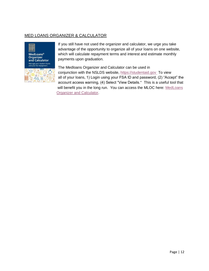# MED LOANS ORGANIZER & CALCULATOR



If you still have not used the organizer and calculator, we urge you take advantage of the opportunity to organize all of your loans on one website, which will calculate repayment terms and interest and estimate monthly payments upon graduation.

The Medloans Organizer and Calculator can be used in conjunction with the NSLDS website, [https://studentaid.gov](https://studentaid.gov/) To view all of your loans, 1) Login using your FSA ID and password, (2) "Accept" the account access warning, (4) Select "View Details." This is a useful tool that will benefit you in the long run. You can access the MLOC here: [MedLoans](https://students-residents.aamc.org/financial-aid/article/medloans-organizer-and-calculator-mloc/)  [Organizer and Calculator.](https://students-residents.aamc.org/financial-aid/article/medloans-organizer-and-calculator-mloc/)